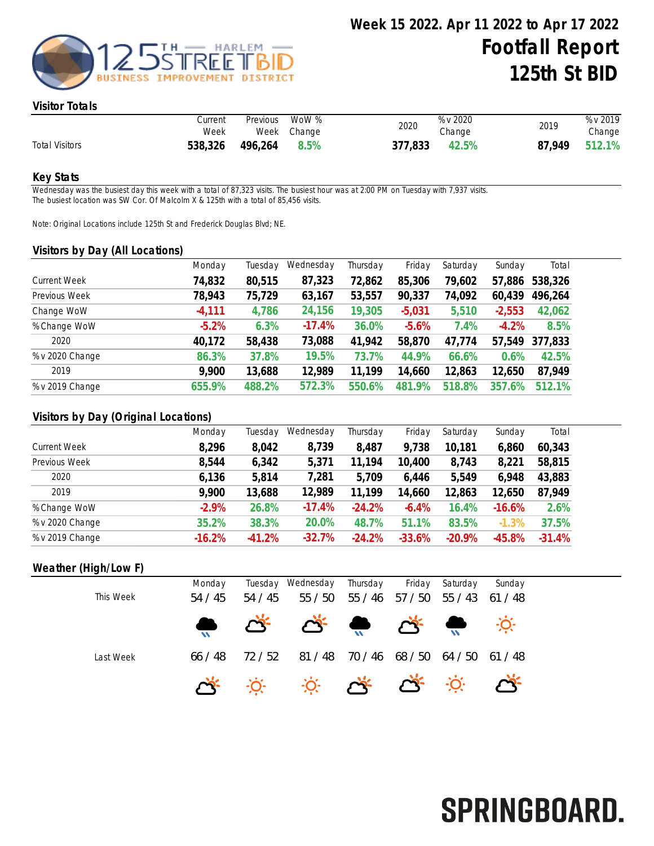

#### Visitor Totals

|                       | Current<br>Week | Previous | WoW %<br>Week Change | 2020    | % v 2020<br>Change | 2019   | % v 2019<br>Change |
|-----------------------|-----------------|----------|----------------------|---------|--------------------|--------|--------------------|
| <b>Total Visitors</b> | 538,326         | 496,264  | 8.5%                 | 377,833 | 42.5%              | 87.949 | 512.1%             |

#### Key Stats

Wednesday was the busiest day this week with a total of 87,323 visits. The busiest hour was at 2:00 PM on Tuesday with 7,937 visits. The busiest location was SW Cor. Of Malcolm X & 125th with a total of 85,456 visits.

Note: Original Locations include 125th St and Frederick Douglas Blvd; NE.

#### Visitors by Day (All Locations)

|                     | Monday   | Tuesday | Wednesday | Thursday | Friday   | Saturday | Sunday   | Total   |
|---------------------|----------|---------|-----------|----------|----------|----------|----------|---------|
| <b>Current Week</b> | 74,832   | 80,515  | 87,323    | 72,862   | 85,306   | 79,602   | 57,886   | 538,326 |
| Previous Week       | 78,943   | 75,729  | 63,167    | 53,557   | 90,337   | 74,092   | 60,439   | 496,264 |
| Change WoW          | $-4,111$ | 4,786   | 24,156    | 19,305   | $-5,031$ | 5,510    | $-2,553$ | 42,062  |
| % Change WoW        | $-5.2%$  | 6.3%    | $-17.4%$  | 36.0%    | $-5.6%$  | 7.4%     | $-4.2%$  | 8.5%    |
| 2020                | 40,172   | 58,438  | 73,088    | 41,942   | 58,870   | 47,774   | 57,549   | 377,833 |
| % v 2020 Change     | 86.3%    | 37.8%   | 19.5%     | 73.7%    | 44.9%    | 66.6%    | 0.6%     | 42.5%   |
| 2019                | 9,900    | 13,688  | 12,989    | 11,199   | 14,660   | 12,863   | 12,650   | 87,949  |
| % v 2019 Change     | 655.9%   | 488.2%  | 572.3%    | 550.6%   | 481.9%   | 518.8%   | 357.6%   | 512.1%  |
|                     |          |         |           |          |          |          |          |         |

### Visitors by Day (Original Locations)

|                     | Monday   | Tuesday  | Wednesday | Thursday | Friday   | Saturday | Sunday   | Total    |
|---------------------|----------|----------|-----------|----------|----------|----------|----------|----------|
| <b>Current Week</b> | 8,296    | 8,042    | 8,739     | 8,487    | 9,738    | 10,181   | 6,860    | 60,343   |
| Previous Week       | 8,544    | 6,342    | 5,371     | 11.194   | 10,400   | 8,743    | 8,221    | 58,815   |
| 2020                | 6,136    | 5,814    | 7,281     | 5,709    | 6,446    | 5,549    | 6,948    | 43,883   |
| 2019                | 9,900    | 13,688   | 12,989    | 11,199   | 14,660   | 12,863   | 12,650   | 87,949   |
| % Change WoW        | $-2.9%$  | 26.8%    | $-17.4%$  | $-24.2%$ | $-6.4%$  | 16.4%    | $-16.6%$ | 2.6%     |
| % v 2020 Change     | 35.2%    | 38.3%    | 20.0%     | 48.7%    | 51.1%    | 83.5%    | $-1.3%$  | 37.5%    |
| % v 2019 Change     | $-16.2%$ | $-41.2%$ | $-32.7%$  | $-24.2%$ | $-33.6%$ | $-20.9%$ | $-45.8%$ | $-31.4%$ |

## Weather (High/Low F)

| This Week | Monday<br>54 / 45 | 54 / 45 | Tuesday Wednesday<br>55 / 50                                                                                       | Thursday<br>55 / 46 | Friday<br>57 / 50       | Saturday | Sunday<br>$55 / 43$ 61 / 48 |
|-----------|-------------------|---------|--------------------------------------------------------------------------------------------------------------------|---------------------|-------------------------|----------|-----------------------------|
|           |                   |         | $\begin{array}{ccccccccccccccccc} \bullet & \circ & \circ & \circ & \bullet & \circ & \bullet & \circ \end{array}$ |                     |                         |          |                             |
| Last Week | 66 / 48           | 72 / 52 | 81 / 48                                                                                                            |                     | 70/46 68/50 64/50 61/48 |          |                             |
|           |                   |         | * * * * * * * * *                                                                                                  |                     |                         |          |                             |

# SPRINGBOARD.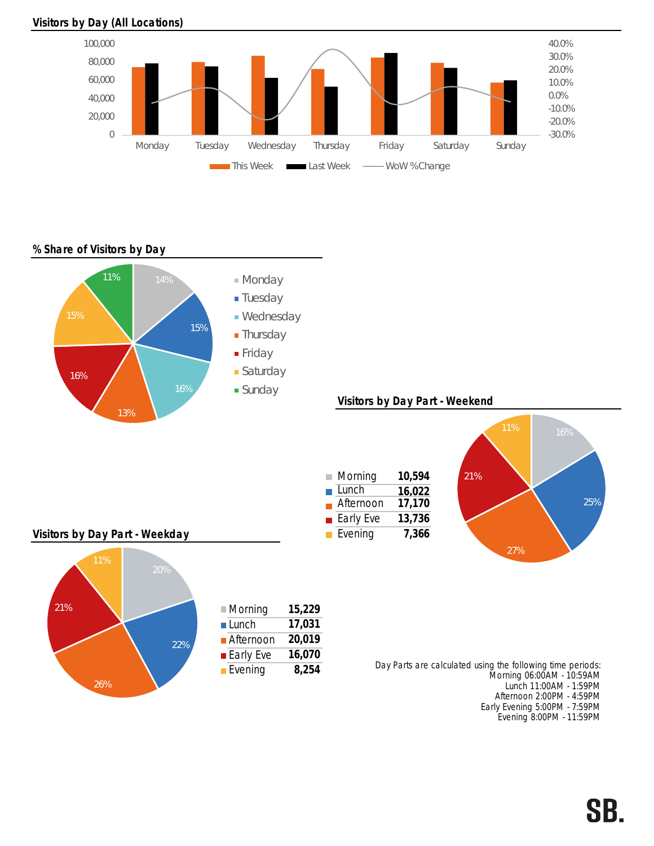

#### Visitors by Day (All Locations)

## % Share of Visitors by Day



Monday Tuesday Wednesday Thursday Friday Saturday Sunday **This Week THE Last Week -- WoW % Change** 

> Afternoon 2:00PM - 4:59PM Early Evening 5:00PM - 7:59PM Evening 8:00PM - 11:59PM

-30.0% -20.0% -10.0% 0.0% 10.0% 20.0% 30.0% 40.0%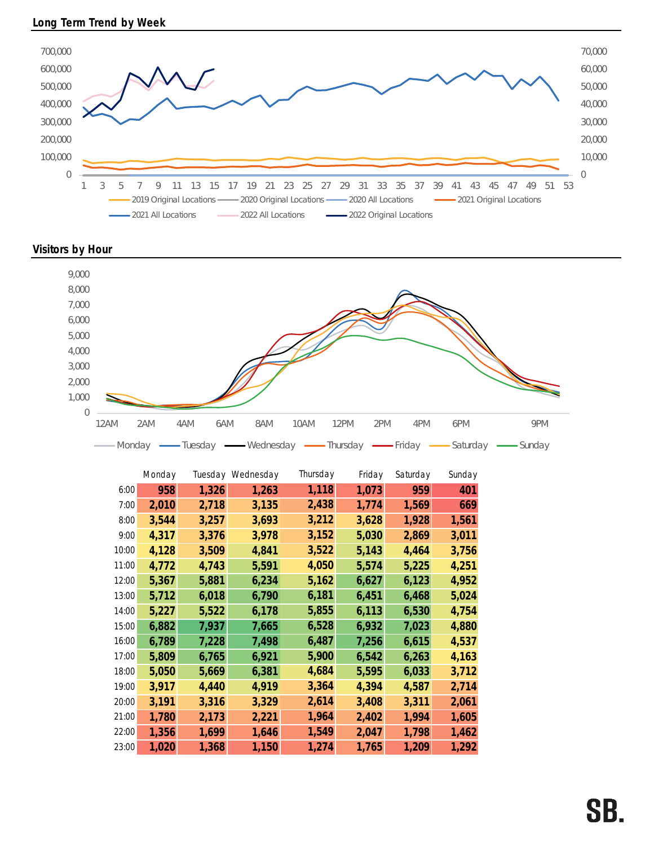

Visitors by Hour



|       | Monday |       | Tuesday Wednesday | Thursday | Friday | Saturday | Sunday |
|-------|--------|-------|-------------------|----------|--------|----------|--------|
| 6:00  | 958    | 1,326 | 1,263             | 1,118    | 1,073  | 959      | 401    |
| 7:00  | 2,010  | 2,718 | 3,135             | 2,438    | 1,774  | 1,569    | 669    |
| 8:00  | 3,544  | 3,257 | 3,693             | 3,212    | 3,628  | 1,928    | 1,561  |
| 9:00  | 4,317  | 3,376 | 3,978             | 3,152    | 5,030  | 2,869    | 3,011  |
| 10:00 | 4,128  | 3,509 | 4,841             | 3,522    | 5,143  | 4,464    | 3,756  |
| 11:00 | 4,772  | 4,743 | 5,591             | 4,050    | 5,574  | 5,225    | 4,251  |
| 12:00 | 5,367  | 5,881 | 6,234             | 5,162    | 6,627  | 6,123    | 4,952  |
| 13:00 | 5,712  | 6,018 | 6,790             | 6,181    | 6,451  | 6,468    | 5,024  |
| 14:00 | 5,227  | 5,522 | 6,178             | 5,855    | 6,113  | 6,530    | 4,754  |
| 15:00 | 6,882  | 7,937 | 7,665             | 6,528    | 6,932  | 7,023    | 4,880  |
| 16:00 | 6,789  | 7,228 | 7,498             | 6,487    | 7,256  | 6,615    | 4,537  |
| 17:00 | 5,809  | 6,765 | 6,921             | 5,900    | 6,542  | 6,263    | 4,163  |
| 18:00 | 5,050  | 5,669 | 6,381             | 4,684    | 5,595  | 6,033    | 3,712  |
| 19:00 | 3,917  | 4,440 | 4,919             | 3,364    | 4,394  | 4,587    | 2,714  |
| 20:00 | 3,191  | 3,316 | 3,329             | 2,614    | 3,408  | 3,311    | 2,061  |
| 21:00 | 1,780  | 2,173 | 2,221             | 1,964    | 2,402  | 1,994    | 1,605  |
| 22:00 | 1,356  | 1,699 | 1,646             | 1,549    | 2,047  | 1,798    | 1,462  |
| 23:00 | 1,020  | 1,368 | 1,150             | 1,274    | 1,765  | 1,209    | 1,292  |